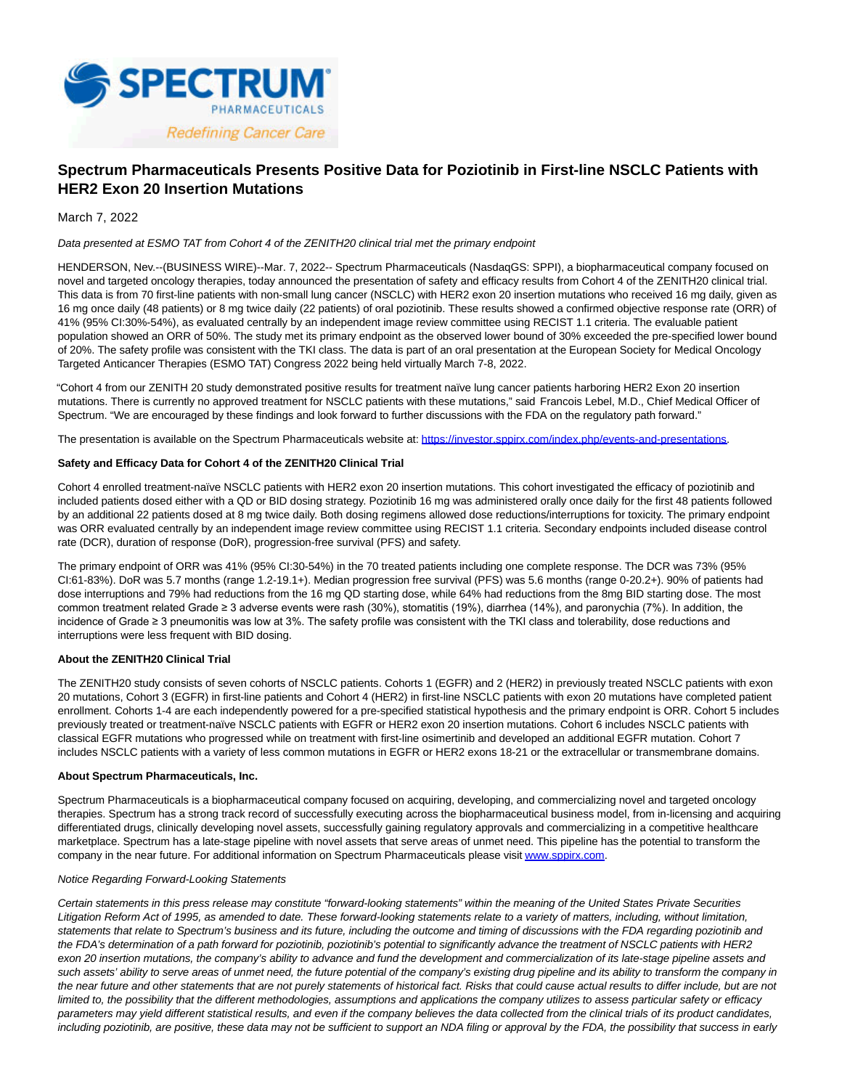

# **Spectrum Pharmaceuticals Presents Positive Data for Poziotinib in First-line NSCLC Patients with HER2 Exon 20 Insertion Mutations**

March 7, 2022

## Data presented at ESMO TAT from Cohort 4 of the ZENITH20 clinical trial met the primary endpoint

HENDERSON, Nev.--(BUSINESS WIRE)--Mar. 7, 2022-- Spectrum Pharmaceuticals (NasdaqGS: SPPI), a biopharmaceutical company focused on novel and targeted oncology therapies, today announced the presentation of safety and efficacy results from Cohort 4 of the ZENITH20 clinical trial. This data is from 70 first-line patients with non-small lung cancer (NSCLC) with HER2 exon 20 insertion mutations who received 16 mg daily, given as 16 mg once daily (48 patients) or 8 mg twice daily (22 patients) of oral poziotinib. These results showed a confirmed objective response rate (ORR) of 41% (95% CI:30%-54%), as evaluated centrally by an independent image review committee using RECIST 1.1 criteria. The evaluable patient population showed an ORR of 50%. The study met its primary endpoint as the observed lower bound of 30% exceeded the pre-specified lower bound of 20%. The safety profile was consistent with the TKI class. The data is part of an oral presentation at the European Society for Medical Oncology Targeted Anticancer Therapies (ESMO TAT) Congress 2022 being held virtually March 7-8, 2022.

"Cohort 4 from our ZENITH 20 study demonstrated positive results for treatment naïve lung cancer patients harboring HER2 Exon 20 insertion mutations. There is currently no approved treatment for NSCLC patients with these mutations," said Francois Lebel, M.D., Chief Medical Officer of Spectrum. "We are encouraged by these findings and look forward to further discussions with the FDA on the regulatory path forward."

The presentation is available on the Spectrum Pharmaceuticals website at: [https://investor.sppirx.com/index.php/events-and-presentations.](https://cts.businesswire.com/ct/CT?id=smartlink&url=https%3A%2F%2Fprotect-us.mimecast.com%2Fs%2Fn54QCmZ2YrIv20RWcOz-9Q%3Fdomain%3Dinvestor.sppirx.com&esheet=52590202&newsitemid=20220307005248&lan=en-US&anchor=https%3A%2F%2Finvestor.sppirx.com%2Findex.php%2Fevents-and-presentations&index=1&md5=05ff0178356acd593f52f582d1d80a89)

#### **Safety and Efficacy Data for Cohort 4 of the ZENITH20 Clinical Trial**

Cohort 4 enrolled treatment-naïve NSCLC patients with HER2 exon 20 insertion mutations. This cohort investigated the efficacy of poziotinib and included patients dosed either with a QD or BID dosing strategy. Poziotinib 16 mg was administered orally once daily for the first 48 patients followed by an additional 22 patients dosed at 8 mg twice daily. Both dosing regimens allowed dose reductions/interruptions for toxicity. The primary endpoint was ORR evaluated centrally by an independent image review committee using RECIST 1.1 criteria. Secondary endpoints included disease control rate (DCR), duration of response (DoR), progression-free survival (PFS) and safety.

The primary endpoint of ORR was 41% (95% CI:30-54%) in the 70 treated patients including one complete response. The DCR was 73% (95% CI:61-83%). DoR was 5.7 months (range 1.2-19.1+). Median progression free survival (PFS) was 5.6 months (range 0-20.2+). 90% of patients had dose interruptions and 79% had reductions from the 16 mg QD starting dose, while 64% had reductions from the 8mg BID starting dose. The most common treatment related Grade ≥ 3 adverse events were rash (30%), stomatitis (19%), diarrhea (14%), and paronychia (7%). In addition, the incidence of Grade ≥ 3 pneumonitis was low at 3%. The safety profile was consistent with the TKI class and tolerability, dose reductions and interruptions were less frequent with BID dosing.

#### **About the ZENITH20 Clinical Trial**

The ZENITH20 study consists of seven cohorts of NSCLC patients. Cohorts 1 (EGFR) and 2 (HER2) in previously treated NSCLC patients with exon 20 mutations, Cohort 3 (EGFR) in first-line patients and Cohort 4 (HER2) in first-line NSCLC patients with exon 20 mutations have completed patient enrollment. Cohorts 1-4 are each independently powered for a pre-specified statistical hypothesis and the primary endpoint is ORR. Cohort 5 includes previously treated or treatment-naïve NSCLC patients with EGFR or HER2 exon 20 insertion mutations. Cohort 6 includes NSCLC patients with classical EGFR mutations who progressed while on treatment with first-line osimertinib and developed an additional EGFR mutation. Cohort 7 includes NSCLC patients with a variety of less common mutations in EGFR or HER2 exons 18-21 or the extracellular or transmembrane domains.

#### **About Spectrum Pharmaceuticals, Inc.**

Spectrum Pharmaceuticals is a biopharmaceutical company focused on acquiring, developing, and commercializing novel and targeted oncology therapies. Spectrum has a strong track record of successfully executing across the biopharmaceutical business model, from in-licensing and acquiring differentiated drugs, clinically developing novel assets, successfully gaining regulatory approvals and commercializing in a competitive healthcare marketplace. Spectrum has a late-stage pipeline with novel assets that serve areas of unmet need. This pipeline has the potential to transform the company in the near future. For additional information on Spectrum Pharmaceuticals please visit [www.sppirx.com.](https://cts.businesswire.com/ct/CT?id=smartlink&url=http%3A%2F%2Fwww.sppirx.com&esheet=52590202&newsitemid=20220307005248&lan=en-US&anchor=www.sppirx.com&index=2&md5=a8e354b059d2001a83c85e5563421188)

## Notice Regarding Forward-Looking Statements

Certain statements in this press release may constitute "forward-looking statements" within the meaning of the United States Private Securities Litigation Reform Act of 1995, as amended to date. These forward-looking statements relate to a variety of matters, including, without limitation, statements that relate to Spectrum's business and its future, including the outcome and timing of discussions with the FDA regarding poziotinib and the FDA's determination of a path forward for poziotinib, poziotinib's potential to significantly advance the treatment of NSCLC patients with HER2 exon 20 insertion mutations, the company's ability to advance and fund the development and commercialization of its late-stage pipeline assets and such assets' ability to serve areas of unmet need, the future potential of the company's existing drug pipeline and its ability to transform the company in the near future and other statements that are not purely statements of historical fact. Risks that could cause actual results to differ include, but are not limited to, the possibility that the different methodologies, assumptions and applications the company utilizes to assess particular safety or efficacy parameters may yield different statistical results, and even if the company believes the data collected from the clinical trials of its product candidates, including poziotinib, are positive, these data may not be sufficient to support an NDA filing or approval by the FDA, the possibility that success in early